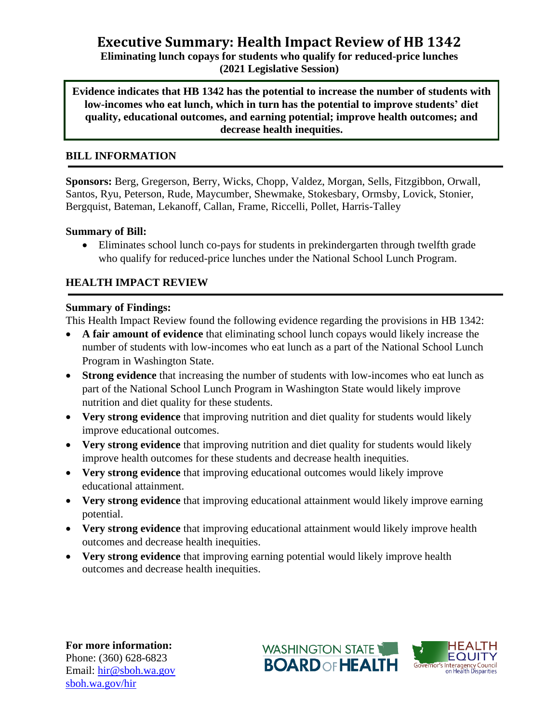# **Executive Summary: Health Impact Review of HB 1342**

**Eliminating lunch copays for students who qualify for reduced-price lunches (2021 Legislative Session)**

**Evidence indicates that HB 1342 has the potential to increase the number of students with low-incomes who eat lunch, which in turn has the potential to improve students' diet quality, educational outcomes, and earning potential; improve health outcomes; and decrease health inequities.**

## **BILL INFORMATION**

**Sponsors:** Berg, Gregerson, Berry, Wicks, Chopp, Valdez, Morgan, Sells, Fitzgibbon, Orwall, Santos, Ryu, Peterson, Rude, Maycumber, Shewmake, Stokesbary, Ormsby, Lovick, Stonier, Bergquist, Bateman, Lekanoff, Callan, Frame, Riccelli, Pollet, Harris-Talley

### **Summary of Bill:**

• Eliminates school lunch co-pays for students in prekindergarten through twelfth grade who qualify for reduced-price lunches under the National School Lunch Program.

# **HEALTH IMPACT REVIEW**

### **Summary of Findings:**

This Health Impact Review found the following evidence regarding the provisions in HB 1342:

- **A fair amount of evidence** that eliminating school lunch copays would likely increase the number of students with low-incomes who eat lunch as a part of the National School Lunch Program in Washington State.
- **Strong evidence** that increasing the number of students with low-incomes who eat lunch as part of the National School Lunch Program in Washington State would likely improve nutrition and diet quality for these students.
- **Very strong evidence** that improving nutrition and diet quality for students would likely improve educational outcomes.
- **Very strong evidence** that improving nutrition and diet quality for students would likely improve health outcomes for these students and decrease health inequities.
- **Very strong evidence** that improving educational outcomes would likely improve educational attainment.
- **Very strong evidence** that improving educational attainment would likely improve earning potential.
- **Very strong evidence** that improving educational attainment would likely improve health outcomes and decrease health inequities.
- **Very strong evidence** that improving earning potential would likely improve health outcomes and decrease health inequities.

**For more information:** Phone: (360) 628-6823 Email: [hir@sboh.wa.gov](mailto:hir@sboh.wa.gov) [sboh.wa.gov/](http://sboh.wa.gov/)hir